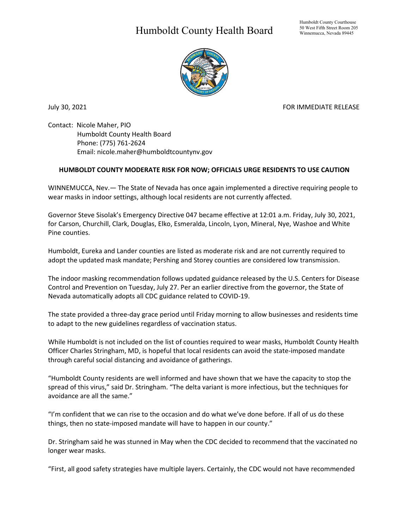## Humboldt County Health Board



July 30, 2021 **FOR IMMEDIATE RELEASE** 

Contact: Nicole Maher, PIO Humboldt County Health Board Phone: (775) 761-2624 Email: nicole.maher@humboldtcountynv.gov

## **HUMBOLDT COUNTY MODERATE RISK FOR NOW; OFFICIALS URGE RESIDENTS TO USE CAUTION**

WINNEMUCCA, Nev.— The State of Nevada has once again implemented a directive requiring people to wear masks in indoor settings, although local residents are not currently affected.

Governor Steve Sisolak's Emergency Directive 047 became effective at 12:01 a.m. Friday, July 30, 2021, for Carson, Churchill, Clark, Douglas, Elko, Esmeralda, Lincoln, Lyon, Mineral, Nye, Washoe and White Pine counties.

Humboldt, Eureka and Lander counties are listed as moderate risk and are not currently required to adopt the updated mask mandate; Pershing and Storey counties are considered low transmission.

The indoor masking recommendation follows updated guidance released by the U.S. Centers for Disease Control and Prevention on Tuesday, July 27. Per an earlier directive from the governor, the State of Nevada automatically adopts all CDC guidance related to COVID-19.

The state provided a three-day grace period until Friday morning to allow businesses and residents time to adapt to the new guidelines regardless of vaccination status.

While Humboldt is not included on the list of counties required to wear masks, Humboldt County Health Officer Charles Stringham, MD, is hopeful that local residents can avoid the state-imposed mandate through careful social distancing and avoidance of gatherings.

"Humboldt County residents are well informed and have shown that we have the capacity to stop the spread of this virus," said Dr. Stringham. "The delta variant is more infectious, but the techniques for avoidance are all the same."

"I'm confident that we can rise to the occasion and do what we've done before. If all of us do these things, then no state-imposed mandate will have to happen in our county."

Dr. Stringham said he was stunned in May when the CDC decided to recommend that the vaccinated no longer wear masks.

"First, all good safety strategies have multiple layers. Certainly, the CDC would not have recommended